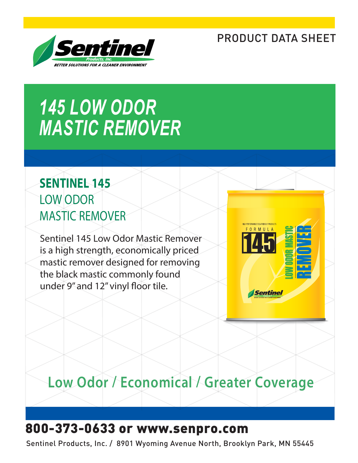# PRODUCT DATA SHEET



# *145 LOW ODOR MASTIC REMOVER*

# **SENTINEL 145** LOW ODOR MASTIC REMOVER

Sentinel 145 Low Odor Mastic Remover is a high strength, economically priced mastic remover designed for removing the black mastic commonly found under 9" and 12" vinyl floor tile.



# **Low Odor / Economical / Greater Coverage**

# 800-373-0633 or www.senpro.com

Sentinel Products, Inc. / 8901 Wyoming Avenue North, Brooklyn Park, MN 55445